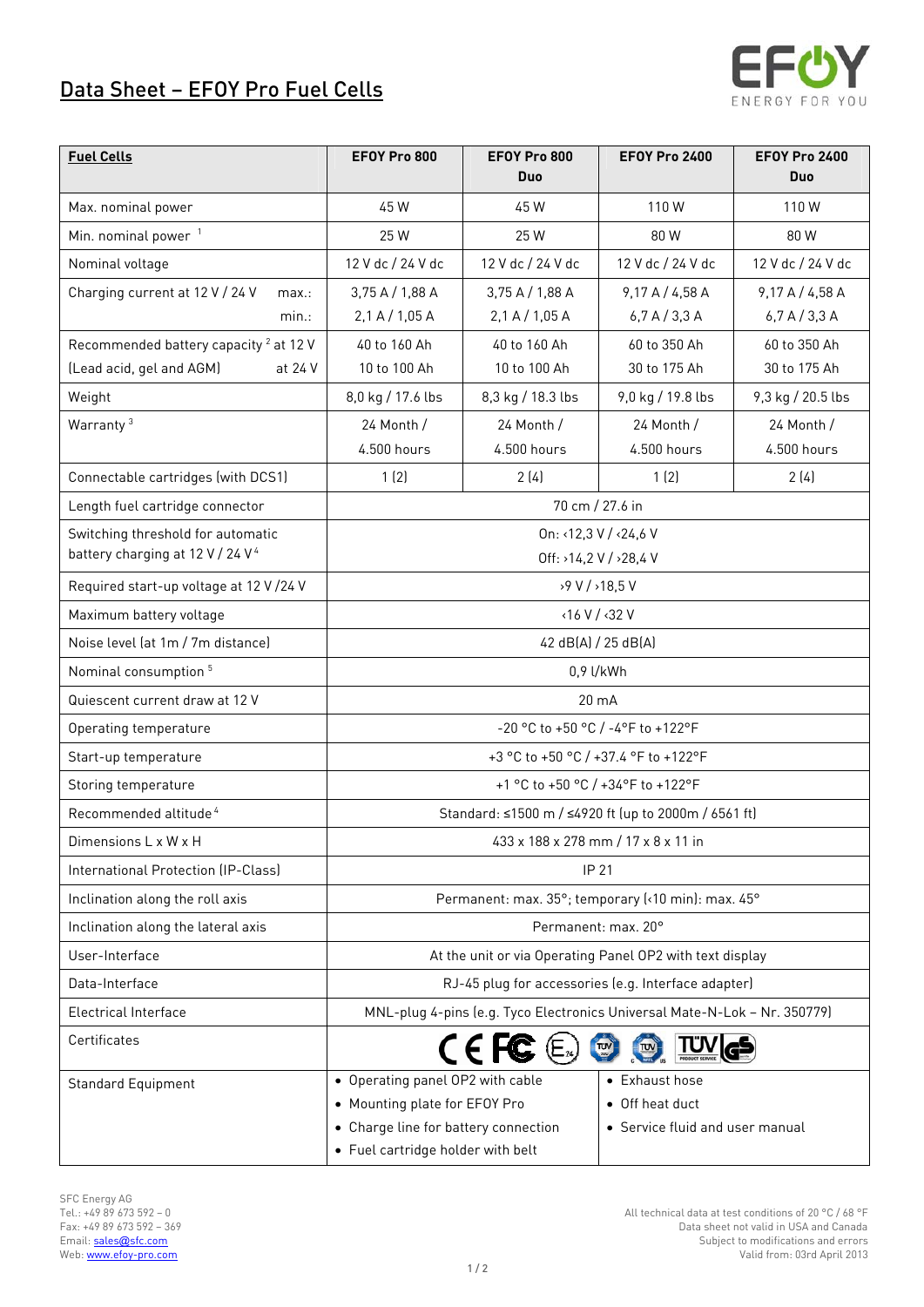## Data Sheet – EFOY Pro Fuel Cells



| <b>Fuel Cells</b>                                 | EFOY Pro 800                                                              | EFOY Pro 800<br>Duo | <b>EFOY Pro 2400</b>            | <b>EFOY Pro 2400</b><br>Duo |
|---------------------------------------------------|---------------------------------------------------------------------------|---------------------|---------------------------------|-----------------------------|
| Max. nominal power                                | 45W                                                                       | 45 W                | 110W                            | 110W                        |
| Min. nominal power <sup>1</sup>                   | 25 W                                                                      | 25 W                | 80W                             | 80 W                        |
| Nominal voltage                                   | 12 V dc / 24 V dc                                                         | 12 V dc / 24 V dc   | 12 V dc / 24 V dc               | 12 V dc / 24 V dc           |
| Charging current at 12 V / 24 V<br>max.:          | 3,75 A / 1,88 A                                                           | 3,75A/1,88A         | 9,17A/4,58A                     | 9,17A/4,58A                 |
| $min.$ :                                          | 2,1 A / 1,05 A                                                            | 2,1 A / 1,05 A      | 6,7A/3,3A                       | 6,7A/3,3A                   |
| Recommended battery capacity <sup>2</sup> at 12 V | 40 to 160 Ah                                                              | 40 to 160 Ah        | 60 to 350 Ah                    | 60 to 350 Ah                |
| (Lead acid, gel and AGM)<br>at 24 V               | 10 to 100 Ah                                                              | 10 to 100 Ah        | 30 to 175 Ah                    | 30 to 175 Ah                |
| Weight                                            | 8,0 kg / 17.6 lbs                                                         | 8,3 kg / 18.3 lbs   | 9,0 kg / 19.8 lbs               | 9,3 kg / 20.5 lbs           |
| Warranty <sup>3</sup>                             | 24 Month /                                                                | 24 Month /          | 24 Month /                      | 24 Month /                  |
|                                                   | 4.500 hours                                                               | 4.500 hours         | 4.500 hours                     | 4.500 hours                 |
| Connectable cartridges (with DCS1)                | 1(2)                                                                      | 2(4)                | 1(2)                            | 2(4)                        |
| Length fuel cartridge connector                   | 70 cm / 27.6 in                                                           |                     |                                 |                             |
| Switching threshold for automatic                 | On: <12,3 V / <24,6 V                                                     |                     |                                 |                             |
| battery charging at 12 V / 24 V <sup>4</sup>      | Off: >14,2 V / >28,4 V                                                    |                     |                                 |                             |
| Required start-up voltage at 12 V /24 V           | >9 V / >18,5 V                                                            |                     |                                 |                             |
| Maximum battery voltage                           | $\langle 16 V / \langle 32 V \rangle$                                     |                     |                                 |                             |
| Noise level (at 1m / 7m distance)                 | 42 dB(A) / 25 dB(A)                                                       |                     |                                 |                             |
| Nominal consumption <sup>5</sup>                  | 0,9 l/kWh                                                                 |                     |                                 |                             |
| Quiescent current draw at 12 V                    | 20 mA                                                                     |                     |                                 |                             |
| Operating temperature                             | -20 °C to +50 °C / -4°F to +122°F                                         |                     |                                 |                             |
| Start-up temperature                              | +3 °C to +50 °C / +37.4 °F to +122°F                                      |                     |                                 |                             |
| Storing temperature                               | +1 °C to +50 °C / +34°F to +122°F                                         |                     |                                 |                             |
| Recommended altitude <sup>4</sup>                 | Standard: ≤1500 m / ≤4920 ft (up to 2000m / 6561 ft)                      |                     |                                 |                             |
| Dimensions L x W x H                              | 433 x 188 x 278 mm / 17 x 8 x 11 in                                       |                     |                                 |                             |
| International Protection (IP-Class)               | <b>IP 21</b>                                                              |                     |                                 |                             |
| Inclination along the roll axis                   | Permanent: max. 35°; temporary (<10 min): max. 45°                        |                     |                                 |                             |
| Inclination along the lateral axis                | Permanent: max. 20°                                                       |                     |                                 |                             |
| User-Interface                                    | At the unit or via Operating Panel OP2 with text display                  |                     |                                 |                             |
| Data-Interface                                    | RJ-45 plug for accessories (e.g. Interface adapter)                       |                     |                                 |                             |
| Electrical Interface                              | MNL-plug 4-pins (e.g. Tyco Electronics Universal Mate-N-Lok - Nr. 350779) |                     |                                 |                             |
| Certificates                                      | $C \in FC \times$<br>$\sqrt{\pi}$                                         |                     |                                 |                             |
| <b>Standard Equipment</b>                         | • Operating panel OP2 with cable                                          |                     | • Exhaust hose                  |                             |
|                                                   | • Mounting plate for EFOY Pro                                             |                     | • Off heat duct                 |                             |
|                                                   | • Charge line for battery connection<br>• Fuel cartridge holder with belt |                     | • Service fluid and user manual |                             |
|                                                   |                                                                           |                     |                                 |                             |